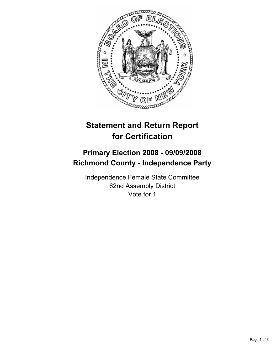

# **Statement and Return Report for Certification**

## **Primary Election 2008 - 09/09/2008 Richmond County - Independence Party**

Independence Female State Committee 62nd Assembly District Vote for 1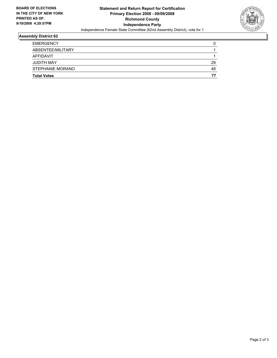

### **Assembly District 62**

| <b>Total Votes</b> | 77 |
|--------------------|----|
| STEPHANIE MORANO   | 48 |
| <b>JUDITH MAY</b>  | 29 |
| AFFIDAVIT          |    |
| ABSENTEE/MILITARY  |    |
| <b>EMERGENCY</b>   |    |